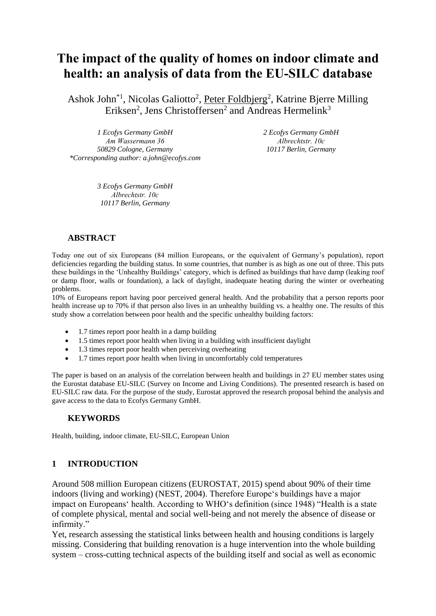# **The impact of the quality of homes on indoor climate and health: an analysis of data from the EU-SILC database**

Ashok John<sup>\*1</sup>, Nicolas Galiotto<sup>2</sup>, Peter Foldbjerg<sup>2</sup>, Katrine Bjerre Milling Eriksen<sup>2</sup>, Jens Christoffersen<sup>2</sup> and Andreas Hermelink<sup>3</sup>

*1 Ecofys Germany GmbH Am Wassermann 36 50829 Cologne, Germany \*Corresponding author: a.john@ecofys.com* *2 Ecofys Germany GmbH Albrechtstr. 10c 10117 Berlin, Germany*

*3 Ecofys Germany GmbH Albrechtstr. 10c 10117 Berlin, Germany*

#### **ABSTRACT**

Today one out of six Europeans (84 million Europeans, or the equivalent of Germany's population), report deficiencies regarding the building status. In some countries, that number is as high as one out of three. This puts these buildings in the 'Unhealthy Buildings' category, which is defined as buildings that have damp (leaking roof or damp floor, walls or foundation), a lack of daylight, inadequate heating during the winter or overheating problems.

10% of Europeans report having poor perceived general health. And the probability that a person reports poor health increase up to 70% if that person also lives in an unhealthy building vs. a healthy one. The results of this study show a correlation between poor health and the specific unhealthy building factors:

- 1.7 times report poor health in a damp building
- 1.5 times report poor health when living in a building with insufficient daylight
- 1.3 times report poor health when perceiving overheating
- 1.7 times report poor health when living in uncomfortably cold temperatures

The paper is based on an analysis of the correlation between health and buildings in 27 EU member states using the Eurostat database EU-SILC (Survey on Income and Living Conditions). The presented research is based on EU-SILC raw data. For the purpose of the study, Eurostat approved the research proposal behind the analysis and gave access to the data to Ecofys Germany GmbH.

#### **KEYWORDS**

Health, building, indoor climate, EU-SILC, European Union

# **1 INTRODUCTION**

Around 508 million European citizens (EUROSTAT, 2015) spend about 90% of their time indoors (living and working) (NEST, 2004). Therefore Europe's buildings have a major impact on Europeans' health. According to WHO's definition (since 1948) "Health is a state of complete physical, mental and social well-being and not merely the absence of disease or infirmity."

Yet, research assessing the statistical links between health and housing conditions is largely missing. Considering that building renovation is a huge intervention into the whole building system – cross-cutting technical aspects of the building itself and social as well as economic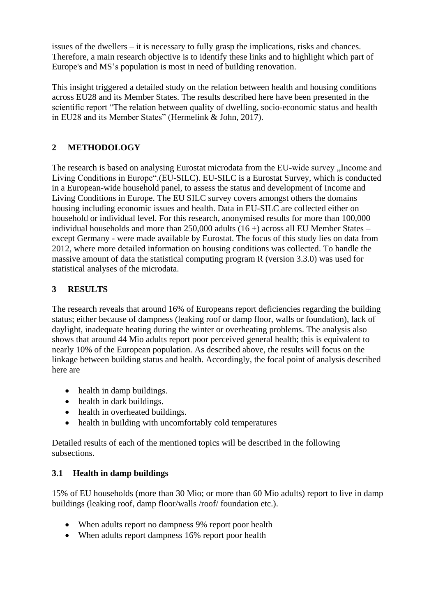issues of the dwellers – it is necessary to fully grasp the implications, risks and chances. Therefore, a main research objective is to identify these links and to highlight which part of Europe's and MS's population is most in need of building renovation.

This insight triggered a detailed study on the relation between health and housing conditions across EU28 and its Member States. The results described here have been presented in the scientific report "The relation between quality of dwelling, socio-economic status and health in EU28 and its Member States" (Hermelink & John, 2017).

# **2 METHODOLOGY**

The research is based on analysing Eurostat microdata from the EU-wide survey , Income and Living Conditions in Europe".(EU-SILC). EU-SILC is a Eurostat Survey, which is conducted in a European-wide household panel, to assess the status and development of Income and Living Conditions in Europe. The EU SILC survey covers amongst others the domains housing including economic issues and health. Data in EU-SILC are collected either on household or individual level. For this research, anonymised results for more than 100,000 individual households and more than  $250,000$  adults (16 +) across all EU Member States – except Germany - were made available by Eurostat. The focus of this study lies on data from 2012, where more detailed information on housing conditions was collected. To handle the massive amount of data the statistical computing program R (version 3.3.0) was used for statistical analyses of the microdata.

# **3 RESULTS**

The research reveals that around 16% of Europeans report deficiencies regarding the building status; either because of dampness (leaking roof or damp floor, walls or foundation), lack of daylight, inadequate heating during the winter or overheating problems. The analysis also shows that around 44 Mio adults report poor perceived general health; this is equivalent to nearly 10% of the European population. As described above, the results will focus on the linkage between building status and health. Accordingly, the focal point of analysis described here are

- health in damp buildings.
- health in dark buildings.
- health in overheated buildings.
- health in building with uncomfortably cold temperatures

Detailed results of each of the mentioned topics will be described in the following subsections.

# **3.1 Health in damp buildings**

15% of EU households (more than 30 Mio; or more than 60 Mio adults) report to live in damp buildings (leaking roof, damp floor/walls /roof/ foundation etc.).

- When adults report no dampness 9% report poor health
- When adults report dampness 16% report poor health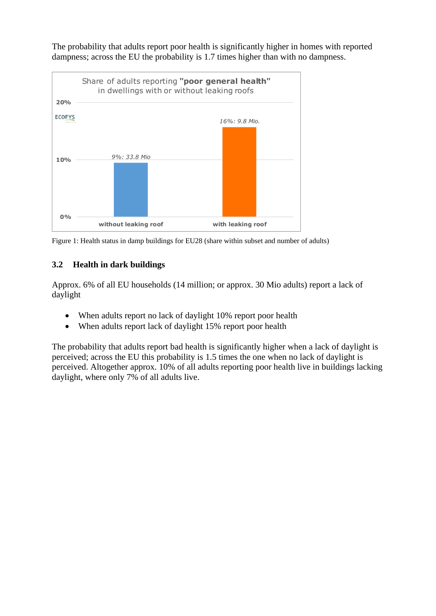The probability that adults report poor health is significantly higher in homes with reported dampness; across the EU the probability is 1.7 times higher than with no dampness.



Figure 1: Health status in damp buildings for EU28 (share within subset and number of adults)

# **3.2 Health in dark buildings**

Approx. 6% of all EU households (14 million; or approx. 30 Mio adults) report a lack of daylight

- When adults report no lack of daylight 10% report poor health
- When adults report lack of daylight 15% report poor health

The probability that adults report bad health is significantly higher when a lack of daylight is perceived; across the EU this probability is 1.5 times the one when no lack of daylight is perceived. Altogether approx. 10% of all adults reporting poor health live in buildings lacking daylight, where only 7% of all adults live.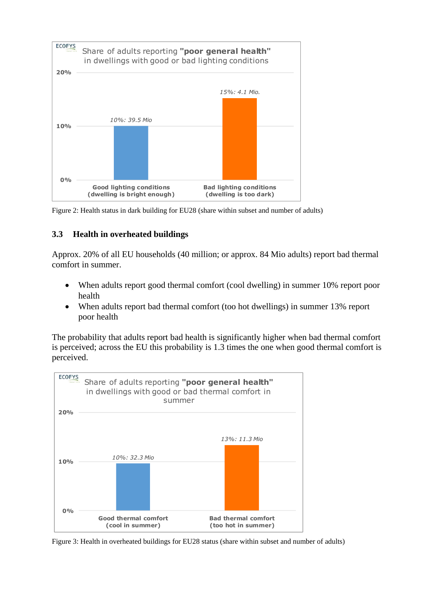



#### **3.3 Health in overheated buildings**

Approx. 20% of all EU households (40 million; or approx. 84 Mio adults) report bad thermal comfort in summer.

- When adults report good thermal comfort (cool dwelling) in summer 10% report poor health
- When adults report bad thermal comfort (too hot dwellings) in summer 13% report poor health

The probability that adults report bad health is significantly higher when bad thermal comfort is perceived; across the EU this probability is 1.3 times the one when good thermal comfort is perceived.



Figure 3: Health in overheated buildings for EU28 status (share within subset and number of adults)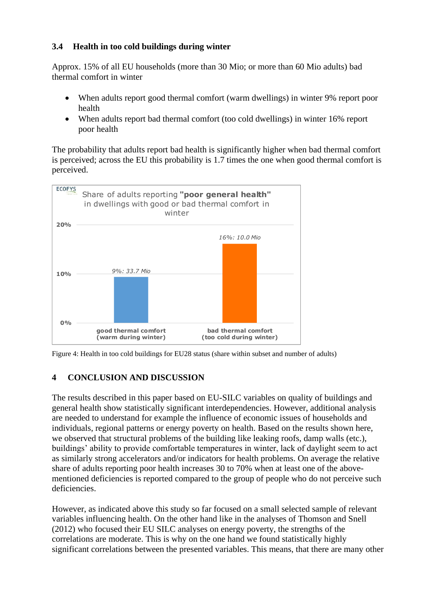### **3.4 Health in too cold buildings during winter**

Approx. 15% of all EU households (more than 30 Mio; or more than 60 Mio adults) bad thermal comfort in winter

- When adults report good thermal comfort (warm dwellings) in winter 9% report poor health
- When adults report bad thermal comfort (too cold dwellings) in winter 16% report poor health

The probability that adults report bad health is significantly higher when bad thermal comfort is perceived; across the EU this probability is 1.7 times the one when good thermal comfort is perceived.



Figure 4: Health in too cold buildings for EU28 status (share within subset and number of adults)

# **4 CONCLUSION AND DISCUSSION**

The results described in this paper based on EU-SILC variables on quality of buildings and general health show statistically significant interdependencies. However, additional analysis are needed to understand for example the influence of economic issues of households and individuals, regional patterns or energy poverty on health. Based on the results shown here, we observed that structural problems of the building like leaking roofs, damp walls (etc.), buildings' ability to provide comfortable temperatures in winter, lack of daylight seem to act as similarly strong accelerators and/or indicators for health problems. On average the relative share of adults reporting poor health increases 30 to 70% when at least one of the abovementioned deficiencies is reported compared to the group of people who do not perceive such deficiencies.

However, as indicated above this study so far focused on a small selected sample of relevant variables influencing health. On the other hand like in the analyses of Thomson and Snell (2012) who focused their EU SILC analyses on energy poverty, the strengths of the correlations are moderate. This is why on the one hand we found statistically highly significant correlations between the presented variables. This means, that there are many other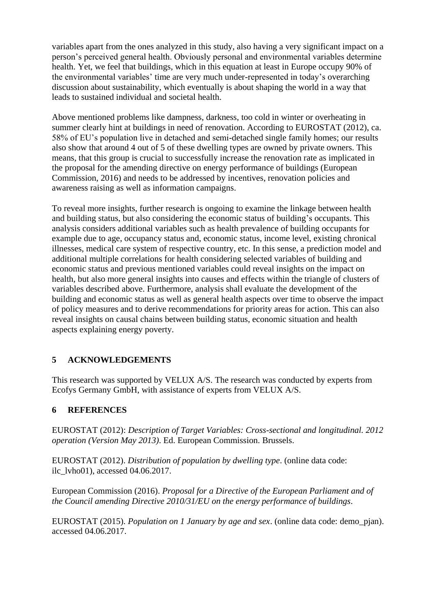variables apart from the ones analyzed in this study, also having a very significant impact on a person's perceived general health. Obviously personal and environmental variables determine health. Yet, we feel that buildings, which in this equation at least in Europe occupy 90% of the environmental variables' time are very much under-represented in today's overarching discussion about sustainability, which eventually is about shaping the world in a way that leads to sustained individual and societal health.

Above mentioned problems like dampness, darkness, too cold in winter or overheating in summer clearly hint at buildings in need of renovation. According to EUROSTAT (2012), ca. 58% of EU's population live in detached and semi-detached single family homes; our results also show that around 4 out of 5 of these dwelling types are owned by private owners. This means, that this group is crucial to successfully increase the renovation rate as implicated in the proposal for the amending directive on energy performance of buildings (European Commission, 2016) and needs to be addressed by incentives, renovation policies and awareness raising as well as information campaigns.

To reveal more insights, further research is ongoing to examine the linkage between health and building status, but also considering the economic status of building's occupants. This analysis considers additional variables such as health prevalence of building occupants for example due to age, occupancy status and, economic status, income level, existing chronical illnesses, medical care system of respective country, etc. In this sense, a prediction model and additional multiple correlations for health considering selected variables of building and economic status and previous mentioned variables could reveal insights on the impact on health, but also more general insights into causes and effects within the triangle of clusters of variables described above. Furthermore, analysis shall evaluate the development of the building and economic status as well as general health aspects over time to observe the impact of policy measures and to derive recommendations for priority areas for action. This can also reveal insights on causal chains between building status, economic situation and health aspects explaining energy poverty.

# **5 ACKNOWLEDGEMENTS**

This research was supported by VELUX A/S. The research was conducted by experts from Ecofys Germany GmbH, with assistance of experts from VELUX A/S.

# **6 REFERENCES**

EUROSTAT (2012): *Description of Target Variables: Cross-sectional and longitudinal. 2012 operation (Version May 2013)*. Ed. European Commission. Brussels.

EUROSTAT (2012). *Distribution of population by dwelling type*. (online data code: ilc\_lvho01), accessed 04.06.2017.

European Commission (2016). *Proposal for a Directive of the European Parliament and of the Council amending Directive 2010/31/EU on the energy performance of buildings*.

EUROSTAT (2015). *Population on 1 January by age and sex*. (online data code: demo\_pjan). accessed 04.06.2017.